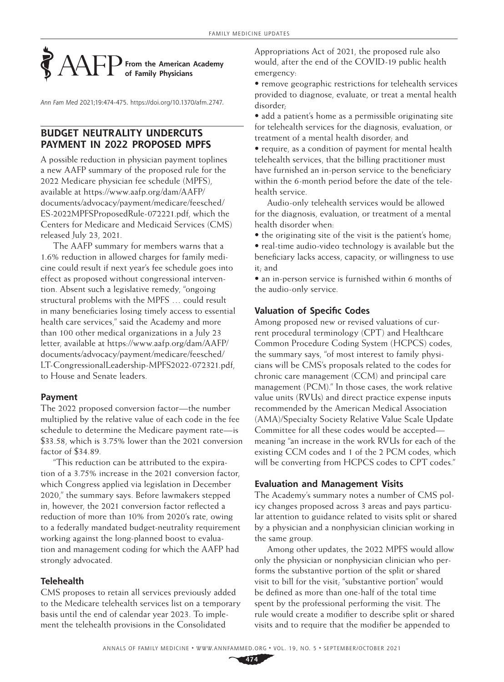# **From the American Academy of Family Physicians**

*Ann Fam Med* 2021;19:474-475. [https://doi.org/10.1370/afm.2747.](https://doi.org/10.1370/afm.2747)

# **BUDGET NEUTRALITY UNDERCUTS PAYMENT IN 2022 PROPOSED MPFS**

A possible reduction in physician payment toplines a new AAFP summary of the proposed rule for the 2022 Medicare physician fee schedule (MPFS), available at [https://www.aafp.org/dam/AAFP/](https://www.aafp.org/dam/AAFP/documents/advocacy/payment/medicare/feesched/ES-2022MPFSProposedRule-072221.pdf) [documents/advocacy/payment/medicare/feesched/](https://www.aafp.org/dam/AAFP/documents/advocacy/payment/medicare/feesched/ES-2022MPFSProposedRule-072221.pdf) [ES-2022MPFSProposedRule-072221.pdf,](https://www.aafp.org/dam/AAFP/documents/advocacy/payment/medicare/feesched/ES-2022MPFSProposedRule-072221.pdf) which the Centers for Medicare and Medicaid Services (CMS) released July 23, 2021.

The AAFP summary for members warns that a 1.6% reduction in allowed charges for family medicine could result if next year's fee schedule goes into effect as proposed without congressional intervention. Absent such a legislative remedy, "ongoing structural problems with the MPFS … could result in many beneficiaries losing timely access to essential health care services," said the Academy and more than 100 other medical organizations in a July 23 letter, available at [https://www.aafp.org/dam/AAFP/](https://www.aafp.org/dam/AAFP/documents/advocacy/payment/medicare/feesched/LT-CongressionalLeadership-MPFS2022-072321.pdf) [documents/advocacy/payment/medicare/feesched/](https://www.aafp.org/dam/AAFP/documents/advocacy/payment/medicare/feesched/LT-CongressionalLeadership-MPFS2022-072321.pdf) [LT-CongressionalLeadership-MPFS2022-072321.pdf,](https://www.aafp.org/dam/AAFP/documents/advocacy/payment/medicare/feesched/LT-CongressionalLeadership-MPFS2022-072321.pdf) to House and Senate leaders.

# **Payment**

The 2022 proposed conversion factor—the number multiplied by the relative value of each code in the fee schedule to determine the Medicare payment rate—is \$33.58, which is 3.75% lower than the 2021 conversion factor of \$34.89.

"This reduction can be attributed to the expiration of a 3.75% increase in the 2021 conversion factor, which Congress applied via legislation in December 2020," the summary says. Before lawmakers stepped in, however, the 2021 conversion factor reflected a reduction of more than 10% from 2020's rate, owing to a federally mandated budget-neutrality requirement working against the long-planned boost to evaluation and management coding for which the AAFP had strongly advocated.

# **Telehealth**

CMS proposes to retain all services previously added to the Medicare telehealth services list on a temporary basis until the end of calendar year 2023. To implement the telehealth provisions in the Consolidated

Appropriations Act of 2021, the proposed rule also would, after the end of the COVID-19 public health emergency:

• remove geographic restrictions for telehealth services provided to diagnose, evaluate, or treat a mental health disorder;

• add a patient's home as a permissible originating site for telehealth services for the diagnosis, evaluation, or treatment of a mental health disorder; and

• require, as a condition of payment for mental health telehealth services, that the billing practitioner must have furnished an in-person service to the beneficiary within the 6-month period before the date of the telehealth service.

Audio-only telehealth services would be allowed for the diagnosis, evaluation, or treatment of a mental health disorder when:

• the originating site of the visit is the patient's home;

• real-time audio-video technology is available but the beneficiary lacks access, capacity, or willingness to use it; and

• an in-person service is furnished within 6 months of the audio-only service.

# **Valuation of Specific Codes**

Among proposed new or revised valuations of current procedural terminology (CPT) and Healthcare Common Procedure Coding System (HCPCS) codes, the summary says, "of most interest to family physicians will be CMS's proposals related to the codes for chronic care management (CCM) and principal care management (PCM)." In those cases, the work relative value units (RVUs) and direct practice expense inputs recommended by the American Medical Association (AMA)/Specialty Society Relative Value Scale Update Committee for all these codes would be accepted meaning "an increase in the work RVUs for each of the existing CCM codes and 1 of the 2 PCM codes, which will be converting from HCPCS codes to CPT codes."

# **Evaluation and Management Visits**

The Academy's summary notes a number of CMS policy changes proposed across 3 areas and pays particular attention to guidance related to visits split or shared by a physician and a nonphysician clinician working in the same group.

Among other updates, the 2022 MPFS would allow only the physician or nonphysician clinician who performs the substantive portion of the split or shared visit to bill for the visit; "substantive portion" would be defined as more than one-half of the total time spent by the professional performing the visit. The rule would create a modifier to describe split or shared visits and to require that the modifier be appended to